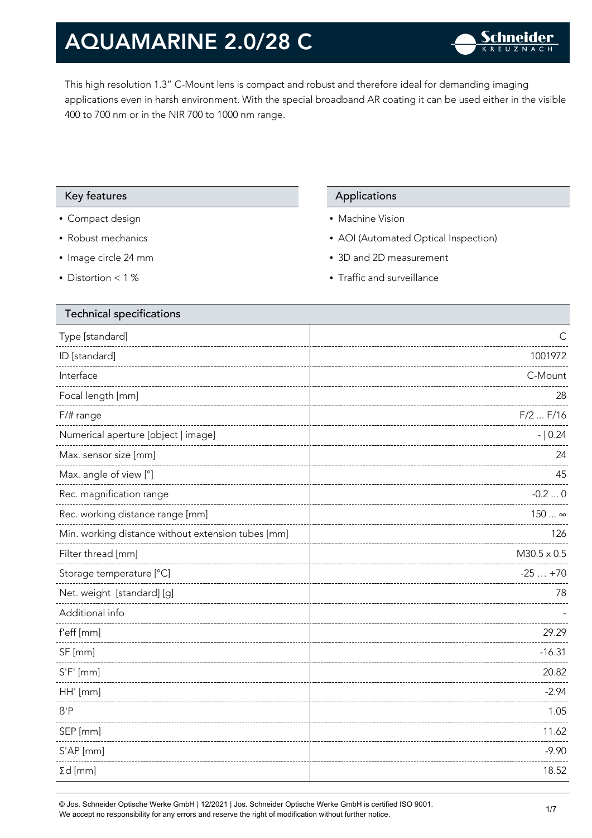This high resolution 1.3" C-Mount lens is compact and robust and therefore ideal for demanding imaging applications even in harsh environment. With the special broadband AR coating it can be used either in the visible 400 to 700 nm or in the NIR 700 to 1000 nm range.

#### Key features Applications Applications

- Compact design
- Robust mechanics
- Image circle 24 mm
- Distortion < 1 %

- Machine Vision
- AOI (Automated Optical Inspection)
- 3D and 2D measurement
- Traffic and surveillance

| <b>Technical specifications</b>                    |                    |
|----------------------------------------------------|--------------------|
| Type [standard]                                    | C                  |
| ID [standard]                                      | 1001972            |
| Interface                                          | C-Mount            |
| Focal length [mm]                                  | 28                 |
| F/# range                                          | $F/2$ $F/16$       |
| Numerical aperture [object   image]                | $- 0.24$           |
| Max. sensor size [mm]                              | 24                 |
| Max. angle of view [°]                             | 45                 |
| Rec. magnification range                           | $-0.20$            |
| Rec. working distance range [mm]                   | 150  ∞             |
| Min. working distance without extension tubes [mm] | 126                |
| Filter thread [mm]                                 | $M30.5 \times 0.5$ |
| Storage temperature [°C]                           | $-25+70$           |
| Net. weight [standard] [g]                         | 78                 |
| Additional info                                    |                    |
| f'eff [mm]                                         | 29.29              |
| SF [mm]                                            | $-16.31$           |
| $S'F'$ [mm]                                        | 20.82              |
| HH' [mm]                                           | $-2.94$            |
| $\beta'$ P                                         | 1.05               |
| SEP [mm]                                           | 11.62              |
| S'AP [mm]                                          | $-9.90$            |
| $\Sigma d$ [mm]                                    | 18.52              |
|                                                    |                    |

© Jos. Schneider Optische Werke GmbH | 12/2021 | Jos. Schneider Optische Werke GmbH is certified ISO 9001. We accept no responsibility for any errors and reserve the right of modification without further notice.<br>We accept no responsibility for any errors and reserve the right of modification without further notice.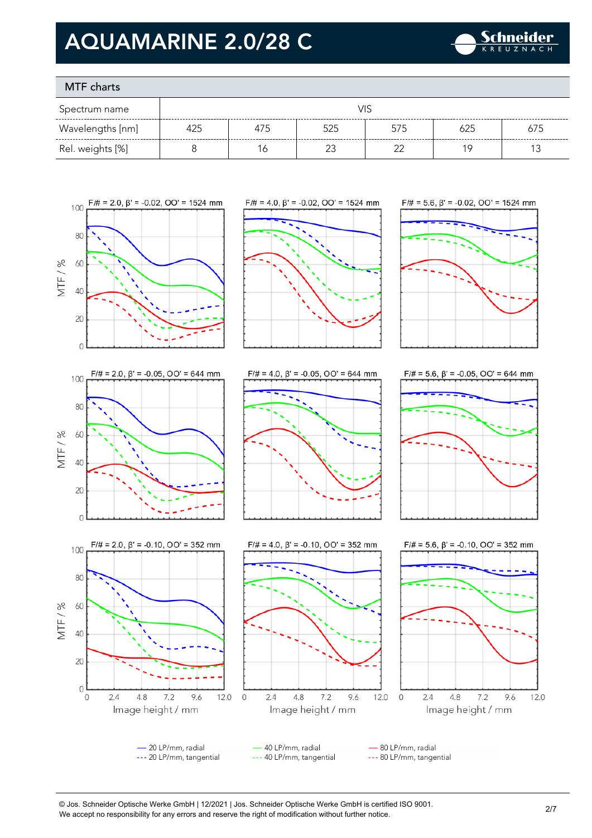

### MTF charts

| Spectrum name    | VIS |     |     |     |     |     |
|------------------|-----|-----|-----|-----|-----|-----|
| Wavelengths [nm] | 425 | 475 | 525 | 575 | 625 | 675 |
| Rel. weights [%] |     | O   |     |     | 1 C |     |









100

**80** 

60

40

20

MTF/%











- 20 LP/mm, radial 40 LP/mm, radial - 80 LP/mm, radial --- 20 LP/mm, tangential --- 40 LP/mm, tangential --- 80 LP/mm, tangential

© Jos. Schneider Optische Werke GmbH | 12/2021 | Jos. Schneider Optische Werke GmbH is certified ISO 9001. We accept no responsibility for any errors and reserve the right of modification without further notice.<br>We accept no responsibility for any errors and reserve the right of modification without further notice.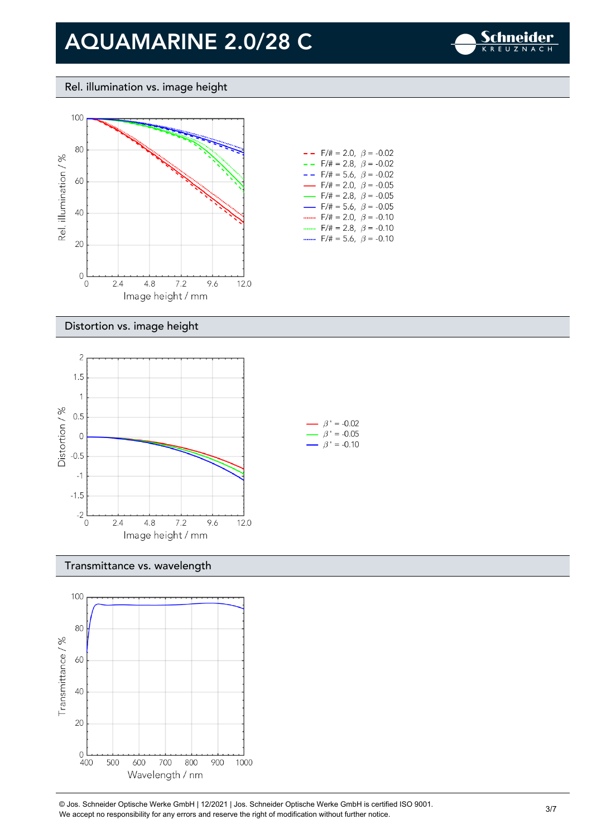

#### Rel. illumination vs. image height



| $- -$ F/# = 2.0, $\beta$ = -0.02         |  |
|------------------------------------------|--|
| $- -$ F/# = 2.8, $\beta$ = -0.02         |  |
| $- -$ F/# = 5.6, $\beta$ = -0.02         |  |
| $\rightarrow$ F/# = 2.0, $\beta$ = -0.05 |  |
| $\rightarrow$ F/# = 2.8, $\beta$ = -0.05 |  |
| $\rightarrow$ F/# = 5.6, $\beta$ = -0.05 |  |
| F/# = 2.0, $\beta$ = -0.10               |  |
| $F/\ddot{x} = 2.8$ , $\beta = -0.10$     |  |
| F/# = 5.6 $\beta$ = -0.10                |  |

#### Distortion vs. image height



#### Transmittance vs. wavelength

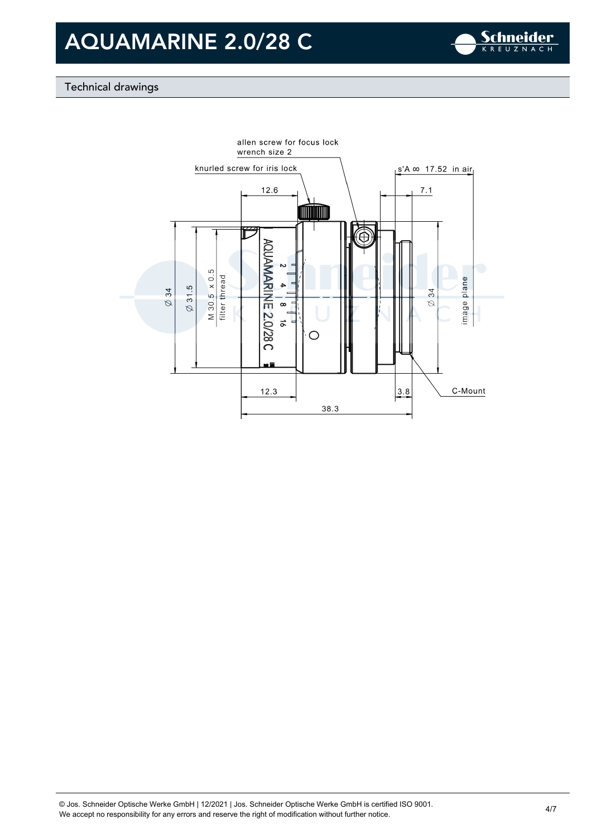

### Technical drawings

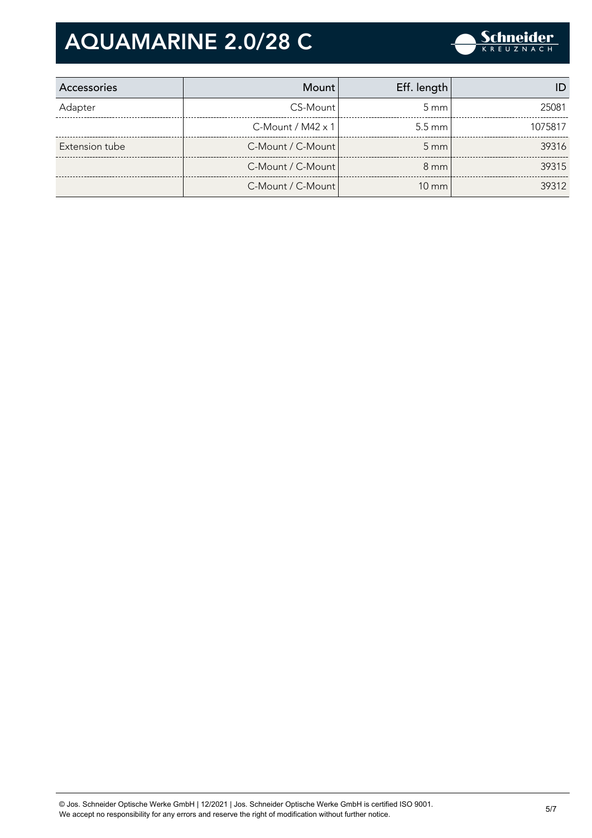

| Accessories    | Mount l                     | Eff. length        |         |
|----------------|-----------------------------|--------------------|---------|
| Adapter        | CS-Mount                    | $5 \text{ mm}$     | 25081   |
|                | $C$ -Mount / M42 $\times$ 1 | $5.5 \text{ mm}$   | 1075817 |
| Extension tube | C-Mount / C-Mount           | $5 \, \mathrm{mm}$ | 39316   |
|                | C-Mount / C-Mount           | $8 \text{ mm}$     | 39315   |
|                | C-Mount / C-Mount           | $10 \text{ mm}$    | 39312   |